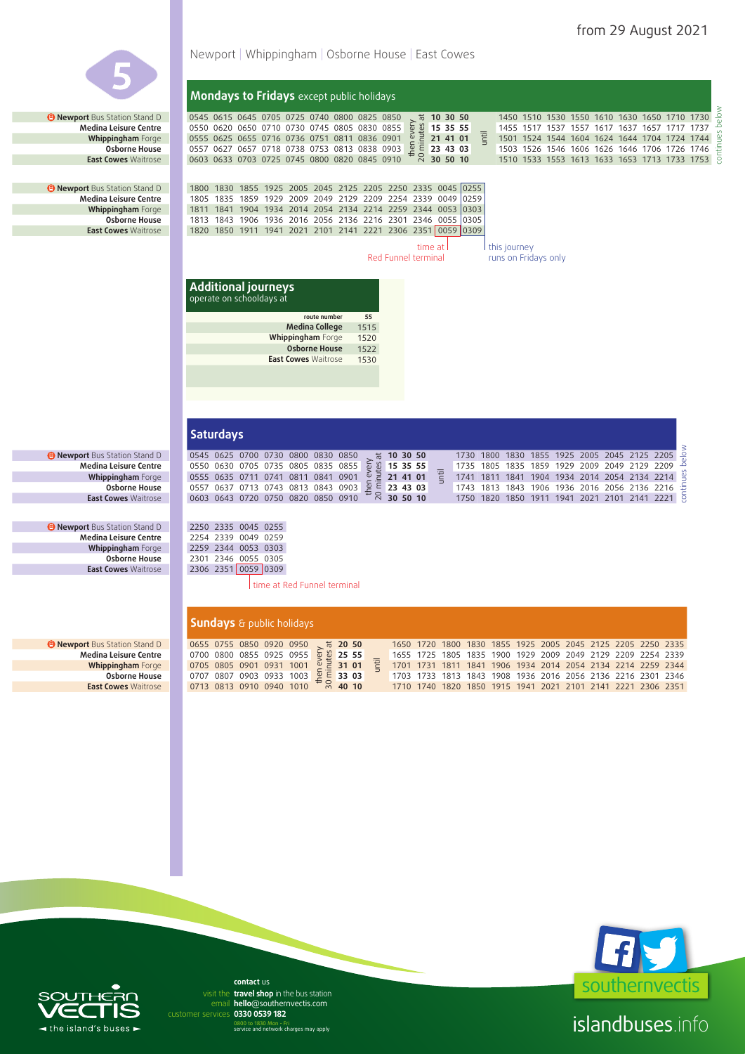continues below

tinues



**Sundays** & public holidays **a** Newport Bus Station Stand D 0655 0755 0850 0920 0950 then 20 50<br>
31 01<br>  $\frac{6}{2}$ <br>  $\frac{1}{2}$ <br>  $\frac{1}{2}$ <br>  $\frac{1}{2}$ <br>  $\frac{1}{2}$ <br>  $\frac{1}{2}$ <br>  $\frac{1}{2}$ <br>  $\frac{1}{2}$ <br>  $\frac{1}{2}$ <br>  $\frac{1}{2}$ <br>  $\frac{1}{2}$ <br>  $\frac{1}{2}$ <br>  $\frac{1}{2}$ <br>  $\frac{1}{2}$ <br>  $\frac{1}{2}$ <br>  $\frac{1}{2}$ <br>  $\frac{1}{2}$ <br>  $\frac{1}{2}$ <br>  $\frac{1$ until 1650 1720 1800 1830 1855 1925 2005 2045 2125 2205 2250 2335 **Medina Leisure Centre** 0700 0800 0855 0925 0955 **25 55** 1655 1725 1805 1835 1900 1929 2009 2049 2129 2209 2254 2339 **Whippingham Forge 0705 0805 0901 0931 1001 <b>31 31 01 1701 1731 1811 1841 1906 1934 2014 2054 2134 2214 2259 2344**<br>**Osborne House** 0707 0807 0903 0933 1003 **41 1703 1703 1703 1813 1843 1908 1936 2016 2056 2136 2216 2 Osborne House** 0707 0807 0903 0933 1003 **33 03** 1703 1733 1813 1843 1908 1936 2016 2056 2136 2216 2301 2346 **East Cowes** Waitrose 0713 0813 0910 0940 1010 **40 10** 1710 1740 1820 1850 1915 1941 2021 2101 2141 2221 2306 2351



islandbuses.info

## $\triangleleft$  the island's buses  $\overline{a}$

email hello@southernvectis.com **0330 0539 182** customer services **contact** us visit the **travel shop** in the bus station

0800 to 1830 Mon - Fri service and network charges may apply